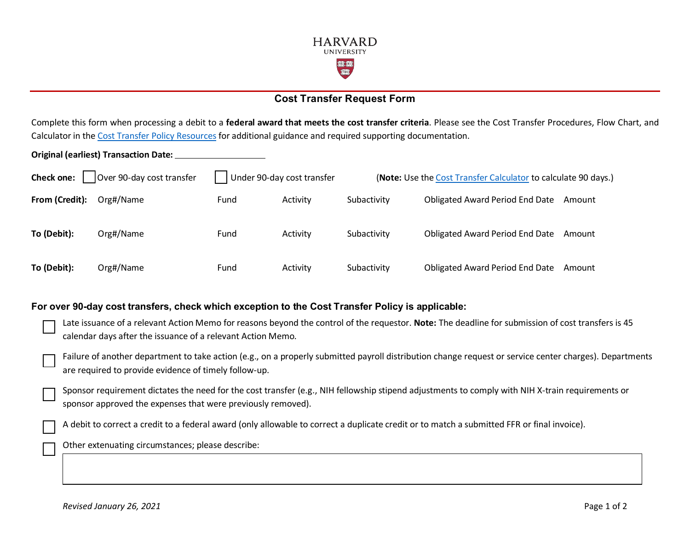

## **Cost Transfer Request Form**

Complete this form when processing a debit to a **federal award that meets the cost transfer criteria**. Please see the Cost Transfer Procedures, Flow Chart, and Calculator in the [Cost Transfer Policy Resources](https://osp.finance.harvard.edu/cost-transfer-policy#resources) for additional guidance and required supporting documentation.

**Original (earliest) Transaction Date:**

| Over 90-day cost transfer<br><b>Check one:</b> |           | Under 90-day cost transfer |          | (Note: Use the Cost Transfer Calculator to calculate 90 days.) |                                        |        |
|------------------------------------------------|-----------|----------------------------|----------|----------------------------------------------------------------|----------------------------------------|--------|
| From (Credit):                                 | Org#/Name | Fund                       | Activity | Subactivity                                                    | <b>Obligated Award Period End Date</b> | Amount |
| To (Debit):                                    | Org#/Name | Fund                       | Activity | Subactivity                                                    | <b>Obligated Award Period End Date</b> | Amount |
| To (Debit):                                    | Org#/Name | Fund                       | Activity | Subactivity                                                    | <b>Obligated Award Period End Date</b> | Amount |

## **For over 90-day cost transfers, check which exception to the Cost Transfer Policy is applicable:**

| 15 Late issuance of a relevant Action Memo for reasons beyond the control of the requestor. Note: The deadline for submission of cost transfers is 45 |
|-------------------------------------------------------------------------------------------------------------------------------------------------------|
| calendar days after the issuance of a relevant Action Memo.                                                                                           |

Failure of another department to take action (e.g., on a properly submitted payroll distribution change request or service center charges). Departments are required to provide evidence of timely follow-up.

Sponsor requirement dictates the need for the cost transfer (e.g., NIH fellowship stipend adjustments to comply with NIH X-train requirements or sponsor approved the expenses that were previously removed).

A debit to correct a credit to a federal award (only allowable to correct a duplicate credit or to match a submitted FFR or final invoice).

Other extenuating circumstances; please describe: